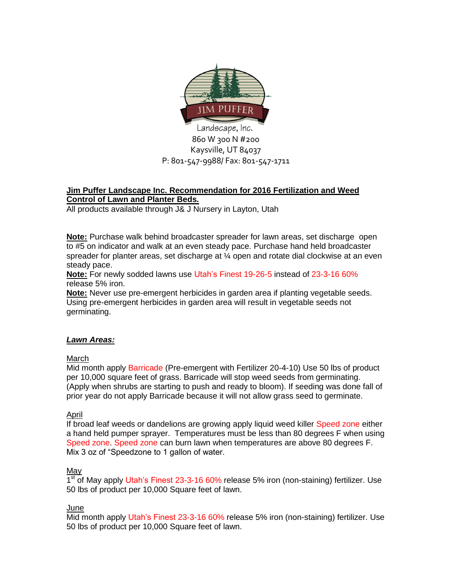

#### **Jim Puffer Landscape Inc. Recommendation for 2016 Fertilization and Weed Control of Lawn and Planter Beds.**

All products available through J& J Nursery in Layton, Utah

**Note:** Purchase walk behind broadcaster spreader for lawn areas, set discharge open to #5 on indicator and walk at an even steady pace. Purchase hand held broadcaster spreader for planter areas, set discharge at ¼ open and rotate dial clockwise at an even steady pace.

**Note:** For newly sodded lawns use Utah's Finest 19-26-5 instead of 23-3-16 60% release 5% iron.

**Note:** Never use pre-emergent herbicides in garden area if planting vegetable seeds. Using pre-emergent herbicides in garden area will result in vegetable seeds not germinating.

# *Lawn Areas:*

# March

Mid month apply Barricade (Pre-emergent with Fertilizer 20-4-10) Use 50 lbs of product per 10,000 square feet of grass. Barricade will stop weed seeds from germinating. (Apply when shrubs are starting to push and ready to bloom). If seeding was done fall of prior year do not apply Barricade because it will not allow grass seed to germinate.

# April

If broad leaf weeds or dandelions are growing apply liquid weed killer Speed zone either a hand held pumper sprayer. Temperatures must be less than 80 degrees F when using Speed zone. Speed zone can burn lawn when temperatures are above 80 degrees F. Mix 3 oz of "Speedzone to 1 gallon of water.

# May

1<sup>st</sup> of May apply Utah's Finest 23-3-16 60% release 5% iron (non-staining) fertilizer. Use 50 lbs of product per 10,000 Square feet of lawn.

# June

Mid month apply Utah's Finest 23-3-16 60% release 5% iron (non-staining) fertilizer. Use 50 lbs of product per 10,000 Square feet of lawn.